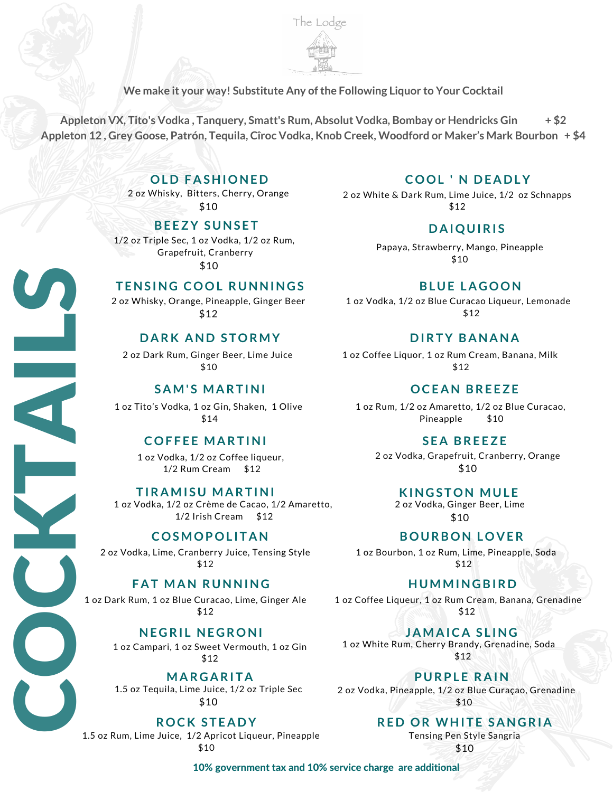

**We make it your way! Substitute Any ofthe Following Liquor to Your Cocktail**

**Appleton VX, Tito's Vodka , Tanquery, Smatt's Rum, Absolut Vodka, Bombay or Hendricks Gin + \$2** Appleton 12, Grey Goose, Patrón, Tequila, Cîroc Vodka, Knob Creek, Woodford or Maker's Mark Bourbon + \$4

## **OL D F A SHIONE D**

2 oz Whisky, Bitters, Cherry, Orange \$10

## **BE EZY S UNS E T**

1/2 oz Triple Sec, 1 oz Vodka, 1/2 oz Rum, Grapefruit, Cranberry \$10

## **T ENS ING COOL R UNNING S**

2 oz Whisky, Orange, Pineapple, Ginger Beer \$12

## **D A RK AND S TORMY**

 2 oz Dark Rum, Ginger Beer, Lime Juice \$10

## **S AM' S MA RT INI**

SA<br>
1 oz Tito's Vo<br>
COF 1 oz Tito's Vodka, 1 oz Gin, Shaken, 1 Olive \$14

### **COF F E E MA RT INI**

1 oz Vodka, 1/2 oz Coffee liqueur, 1/2 Rum Cream \$12

### $TI$ **RAMISU MARTINI**

1 oz<br>TiR<br>1 oz Vodk<br>C 1 oz Vodka, 1/2 oz Crème de Cacao, 1/2 Amaretto, 1/2 Irish Cream \$12

## $COSMOPOLITAN$

2 oz Vodka, Lime, Cranberry Juice, Tensing Style \$12

### **F A T MAN R UNNING**

1 oz Dark Rum, 1 oz Blue Curacao, Lime, Ginger Ale \$12

## **NE G RI L NE G RONI**

1 oz Campari, 1 oz Sweet Vermouth, 1 oz Gin \$12

 **MA R G A RI T A** 1.5 oz Tequila, Lime Juice, 1/2 oz Triple Sec \$10

1.5 oz Rum, Lime Juice, 1/2 Apricot Liqueur, Pineapple

**ROCK STEADY** 

\$10

 $\mathbf C$ 

O

 $\mathbf C$ 

<u>I</u>

L

 $\boldsymbol{\omega}$ 

## **COOL ' N D E A D LY**

2 oz White & Dark Rum, Lime Juice, 1/2 oz Schnapps \$12

### **D A IQU IRI S**

Papaya, Strawberry, Mango, Pineapple \$10

**BL U E L A GOON**

1 oz Vodka, 1/2 oz Blue Curacao Liqueur, Lemonade \$12

### **D IRTY B ANANA**

1 oz Coffee Liquor, 1 oz Rum Cream, Banana, Milk \$12

### **OCE AN BRE EZE**

1 oz Rum, 1/2 oz Amaretto, 1/2 oz Blue Curacao, Pineapple \$10

### **S E A BRE EZE**

2 oz Vodka, Grapefruit, Cranberry, Orange \$10

#### **KINGSTON MULE**

2 oz Vodka, Ginger Beer, Lime \$10

### **BOU RBON LOV ER**

1 oz Bourbon, 1 oz Rum, Lime, Pineapple, Soda \$12

### **HUMMING BIR D**

1 oz Coffee Liqueur, 1 oz Rum Cream, Banana, Grenadine \$12

**J AMA IC A S L ING** 1 oz White Rum, Cherry Brandy, Grenadine, Soda \$12

**P U RPL E R A IN** 2 oz Vodka, Pineapple, 1/2 oz Blue Curaçao, Grenadine \$10

## **RE D OR WHI T E S ANG RI A**

Tensing Pen Style Sangria

\$10

10% government tax and 10% service charge are additional